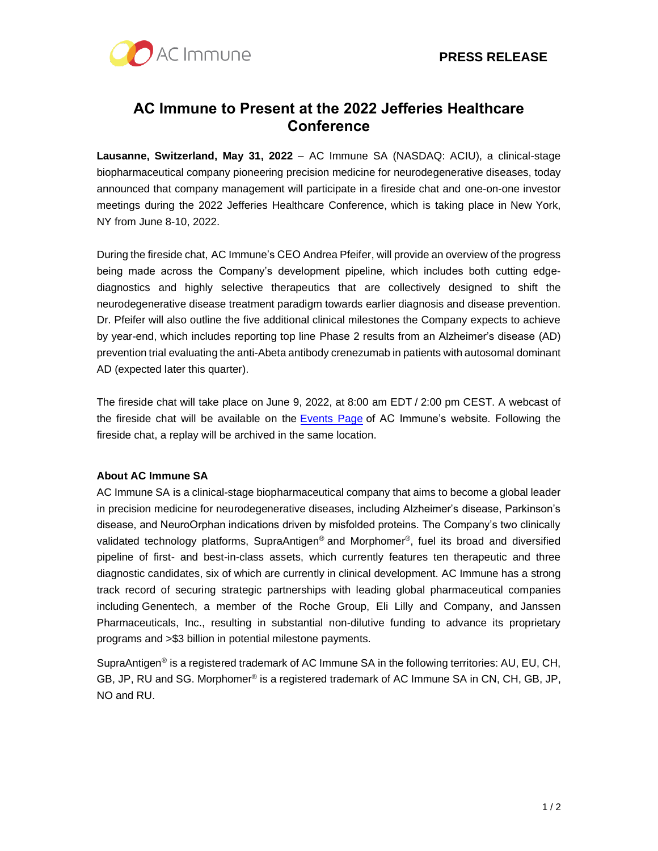

# **AC Immune to Present at the 2022 Jefferies Healthcare Conference**

**Lausanne, Switzerland, May 31, 2022** – AC Immune SA (NASDAQ: ACIU), a clinical-stage biopharmaceutical company pioneering precision medicine for neurodegenerative diseases, today announced that company management will participate in a fireside chat and one-on-one investor meetings during the 2022 Jefferies Healthcare Conference, which is taking place in New York, NY from June 8-10, 2022.

During the fireside chat, AC Immune's CEO Andrea Pfeifer, will provide an overview of the progress being made across the Company's development pipeline, which includes both cutting edgediagnostics and highly selective therapeutics that are collectively designed to shift the neurodegenerative disease treatment paradigm towards earlier diagnosis and disease prevention. Dr. Pfeifer will also outline the five additional clinical milestones the Company expects to achieve by year-end, which includes reporting top line Phase 2 results from an Alzheimer's disease (AD) prevention trial evaluating the anti-Abeta antibody crenezumab in patients with autosomal dominant AD (expected later this quarter).

The fireside chat will take place on June 9, 2022, at 8:00 am EDT / 2:00 pm CEST. A webcast of the fireside chat will be available on the [Events](https://www.globenewswire.com/Tracker?data=w51mOne8dpt-MxUN3xYpvRI8pRJLHXbQ4cva2HnFM_ZI_Z21SP_gYCg1zYVYLKfB2UtFrJ4_8qYHlMINrhhnw4KiyW2sQNNYqhX4F9nXwIDY_YKPm6s5w7tBGC8XHJv_ufGG0U1MZPEAGFuPKfCwR8Re4QYCIp-EoR-mImSHK2LbhOA_ryeCaXtx6W5er4maUygQMVWY8cGha6axIKj5_vT3VUm8VobpVQzGPaWmZe4=) Page of AC Immune's website. Following the fireside chat, a replay will be archived in the same location.

## **About AC Immune SA**

AC Immune SA is a clinical-stage biopharmaceutical company that aims to become a global leader in precision medicine for neurodegenerative diseases, including Alzheimer's disease, Parkinson's disease, and NeuroOrphan indications driven by misfolded proteins. The Company's two clinically validated technology platforms, SupraAntigen® and Morphomer®, fuel its broad and diversified pipeline of first- and best-in-class assets, which currently features ten therapeutic and three diagnostic candidates, six of which are currently in clinical development. AC Immune has a strong track record of securing strategic partnerships with leading global pharmaceutical companies including Genentech, a member of the Roche Group, Eli Lilly and Company, and Janssen Pharmaceuticals, Inc., resulting in substantial non-dilutive funding to advance its proprietary programs and >\$3 billion in potential milestone payments.

SupraAntigen® is a registered trademark of AC Immune SA in the following territories: AU, EU, CH, GB, JP, RU and SG. Morphomer® is a registered trademark of AC Immune SA in CN, CH, GB, JP, NO and RU.